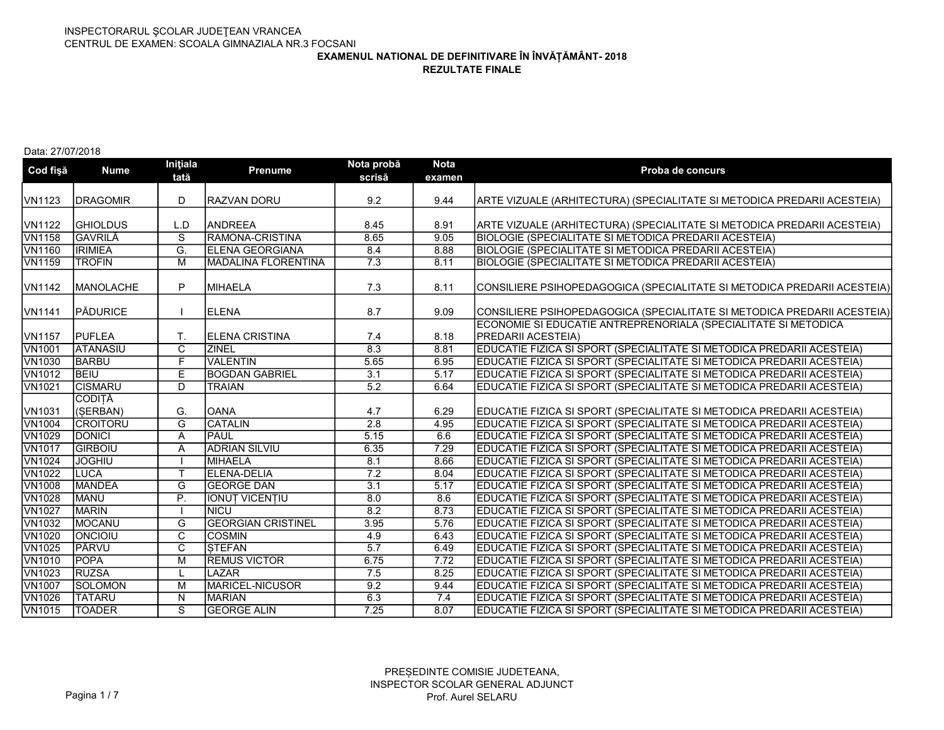REZULTATE FINALE

### Data: 27/07/2018

| Cod fişă      | <b>Nume</b>      | Inițiala<br>tată        | <b>Prenume</b>            | Nota probă<br>scrisă | <b>Nota</b><br>examen | Proba de concurs                                                         |
|---------------|------------------|-------------------------|---------------------------|----------------------|-----------------------|--------------------------------------------------------------------------|
| VN1123        | <b>DRAGOMIR</b>  | D                       | RAZVAN DORU               | 9.2                  | 9.44                  | ARTE VIZUALE (ARHITECTURA) (SPECIALITATE SI METODICA PREDARII ACESTEIA)  |
|               |                  |                         |                           |                      |                       |                                                                          |
| VN1122        | <b>GHIOLDUS</b>  | L.D                     | <b>ANDREEA</b>            | 8.45                 | 8.91                  | ARTE VIZUALE (ARHITECTURA) (SPECIALITATE SI METODICA PREDARII ACESTEIA)  |
| <b>VN1158</b> | <b>GAVRILĂ</b>   | $\overline{\mathsf{s}}$ | RAMONA-CRISTINA           | 8.65                 | 9.05                  | <b>BIOLOGIE (SPECIALITATE SI METODICA PREDARII ACESTEIA)</b>             |
| <b>VN1160</b> | <b>IRIMIEA</b>   | G.                      | <b>ELENA GEORGIANA</b>    | 8.4                  | 8.88                  | <b>BIOLOGIE (SPECIALITATE SI METODICA PREDARII ACESTEIA)</b>             |
| <b>VN1159</b> | <b>TROFIN</b>    | M                       | MADALINA FLORENTINA       | 7.3                  | 8.11                  | BIOLOGIE (SPECIALITATE SI METODICA PREDARII ACESTEIA)                    |
| VN1142        | <b>MANOLACHE</b> | P                       | MIHAELA                   | 7.3                  | 8.11                  | CONSILIERE PSIHOPEDAGOGICA (SPECIALITATE SI METODICA PREDARII ACESTEIA)  |
| VN1141        | PĂDURICE         |                         | <b>ELENA</b>              | 8.7                  | 9.09                  | (CONSILIERE PSIHOPEDAGOGICA (SPECIALITATE SI METODICA PREDARII ACESTEIA) |
|               |                  |                         |                           |                      |                       | ECONOMIE SI EDUCATIE ANTREPRENORIALA (SPECIALITATE SI METODICA           |
| VN1157        | <b>PUFLEA</b>    | T.                      | <b>IELENA CRISTINA</b>    | 7.4                  | 8.18                  | PREDARII ACESTEIA)                                                       |
| <b>VN1001</b> | <b>ATANASIU</b>  | $\overline{\mathsf{C}}$ | <b>ZINEL</b>              | 8.3                  | 8.81                  | EDUCATIE FIZICA SI SPORT (SPECIALITATE SI METODICA PREDARII ACESTEIA)    |
| <b>VN1030</b> | <b>BARBU</b>     | F                       | <b>VALENTIN</b>           | 5.65                 | 6.95                  | EDUCATIE FIZICA SI SPORT (SPECIALITATE SI METODICA PREDARII ACESTEIA)    |
| <b>VN1012</b> | <b>BEIU</b>      | Ε                       | <b>BOGDAN GABRIEL</b>     | $\overline{3.1}$     | $\overline{5.17}$     | EDUCATIE FIZICA SI SPORT (SPECIALITATE SI METODICA PREDARII ACESTEIA)    |
| <b>VN1021</b> | <b>CISMARU</b>   | $\overline{D}$          | <b>TRAIAN</b>             | 5.2                  | 6.64                  | EDUCATIE FIZICA SI SPORT (SPECIALITATE SI METODICA PREDARII ACESTEIA)    |
|               | <b>CODITĂ</b>    |                         |                           |                      |                       |                                                                          |
| VN1031        | (SERBAN)         | G.                      | loana                     | 4.7                  | 6.29                  | EDUCATIE FIZICA SI SPORT (SPECIALITATE SI METODICA PREDARII ACESTEIA)    |
| <b>VN1004</b> | <b>CROITORU</b>  | $\overline{G}$          | CATALIN                   | 2.8                  | 4.95                  | EDUCATIE FIZICA SI SPORT (SPECIALITATE SI METODICA PREDARII ACESTEIA)    |
| <b>VN1029</b> | <b>DONICI</b>    | Α                       | <b>PAUL</b>               | 5.15                 | 6.6                   | EDUCATIE FIZICA SI SPORT (SPECIALITATE SI METODICA PREDARII ACESTEIA)    |
| <b>VN1017</b> | <b>GIRBOIU</b>   | A                       | <b>ADRIAN SILVIU</b>      | 6.35                 | 7.29                  | EDUCATIE FIZICA SI SPORT (SPECIALITATE SI METODICA PREDARII ACESTEIA)    |
| <b>VN1024</b> | <b>JOGHIU</b>    |                         | MIHAELA                   | 8.1                  | 8.66                  | EDUCATIE FIZICA SI SPORT (SPECIALITATE SI METODICA PREDARII ACESTEIA)    |
| <b>VN1022</b> | <b>LUCA</b>      | $\mathsf{T}$            | <b>ELENA-DELIA</b>        | $\overline{7.2}$     | 8.04                  | (EDUCATIE FIZICA SI SPORT (SPECIALITATE SI METODICA PREDARII ACESTEIA    |
| <b>VN1008</b> | <b>MANDEA</b>    | G                       | <b>GEORGE DAN</b>         | $\overline{3.1}$     | 5.17                  | EDUCATIE FIZICA SI SPORT (SPECIALITATE SI METODICA PREDARII ACESTEIA)    |
| <b>VN1028</b> | <b>MANU</b>      | $\overline{P}$ .        | <b>IONUT VICENTIU</b>     | 8.0                  | 8.6                   | (EDUCATIE FIZICA SI SPORT (SPECIALITATE SI METODICA PREDARII ACESTEIA    |
| <b>VN1027</b> | <b>MARIN</b>     |                         | <b>NICU</b>               | 8.2                  | 8.73                  | EDUCATIE FIZICA SI SPORT (SPECIALITATE SI METODICA PREDARII ACESTEIA)    |
| <b>VN1032</b> | <b>MOCANU</b>    | $\overline{G}$          | <b>GEORGIAN CRISTINEL</b> | 3.95                 | 5.76                  | EDUCATIE FIZICA SI SPORT (SPECIALITATE SI METODICA PREDARII ACESTEIA)    |
| <b>VN1020</b> | <b>ONCIOIU</b>   | $\overline{C}$          | <b>COSMIN</b>             | 4.9                  | 6.43                  | EDUCATIE FIZICA SI SPORT (SPECIALITATE SI METODICA PREDARII ACESTEIA)    |
| <b>VN1025</b> | PÂRVU            | $\overline{C}$          | <b>STEFAN</b>             | 5.7                  | 6.49                  | EDUCATIE FIZICA SI SPORT (SPECIALITATE SI METODICA PREDARII ACESTEIA)    |
| <b>VN1010</b> | <b>POPA</b>      | M                       | <b>REMUS VICTOR</b>       | 6.75                 | 7.72                  | (EDUCATIE FIZICA SI SPORT (SPECIALITATE SI METODICA PREDARII ACESTEIA    |
| <b>VN1023</b> | <b>RUZSA</b>     |                         | <b>LAZAR</b>              | $\overline{7.5}$     | 8.25                  | EDUCATIE FIZICA SI SPORT (SPECIALITATE SI METODICA PREDARII ACESTEIA)    |
| <b>VN1007</b> | SOLOMON          | M                       | <b>MARICEL-NICUSOR</b>    | 9.2                  | 9.44                  | EDUCATIE FIZICA SI SPORT (SPECIALITATE SI METODICA PREDARII ACESTEIA)    |
| <b>VN1026</b> | <b>TATARU</b>    | $\overline{N}$          | <b>MARIAN</b>             | 6.3                  | 7.4                   | EDUCATIE FIZICA SI SPORT (SPECIALITATE SI METODICA PREDARII ACESTEIA)    |
| <b>VN1015</b> | <b>TOADER</b>    | $\overline{s}$          | <b>GEORGE ALIN</b>        | 7.25                 | 8.07                  | EDUCATIE FIZICA SI SPORT (SPECIALITATE SI METODICA PREDARII ACESTEIA)    |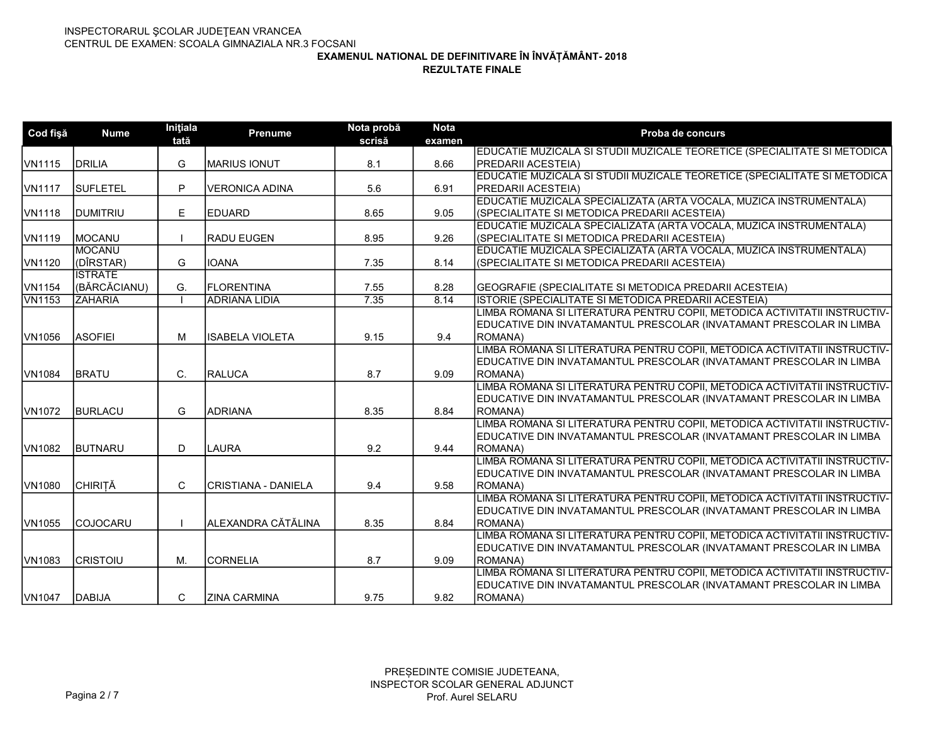| Cod fişă      | <b>Nume</b>      | Inițiala<br>tată | <b>Prenume</b>        | Nota probă<br>scrisă | <b>Nota</b><br>examen | Proba de concurs                                                          |
|---------------|------------------|------------------|-----------------------|----------------------|-----------------------|---------------------------------------------------------------------------|
|               |                  |                  |                       |                      |                       | EDUCATIE MUZICALA SI STUDII MUZICALE TEORETICE (SPECIALITATE SI METODICA  |
| VN1115        | DRILIA           | G                | IMARIUS IONUT         | 8.1                  | 8.66                  | <b>IPREDARII ACESTEIA)</b>                                                |
|               |                  |                  |                       |                      |                       | EDUCATIE MUZICALA SI STUDII MUZICALE TEORETICE (SPECIALITATE SI METODICA  |
| VN1117        | <b>SUFLETEL</b>  | P                | <b>VERONICA ADINA</b> | 5.6                  | 6.91                  | <b>IPREDARII ACESTEIA)</b>                                                |
|               |                  |                  |                       |                      |                       | EDUCATIE MUZICALA SPECIALIZATA (ARTA VOCALA, MUZICA INSTRUMENTALA)        |
| <b>VN1118</b> | <b>DUMITRIU</b>  | E                | <b>IEDUARD</b>        | 8.65                 | 9.05                  | (SPECIALITATE SI METODICA PREDARII ACESTEIA)                              |
|               |                  |                  |                       |                      |                       | EDUCATIE MUZICALA SPECIALIZATA (ARTA VOCALA, MUZICA INSTRUMENTALA)        |
| VN1119        | MOCANU           |                  | <b>RADU EUGEN</b>     | 8.95                 | 9.26                  | (SPECIALITATE SI METODICA PREDARII ACESTEIA)                              |
|               | <b>IMOCANU</b>   |                  |                       |                      |                       | EDUCATIE MUZICALA SPECIALIZATA (ARTA VOCALA, MUZICA INSTRUMENTALA)        |
| VN1120        | (DÎRSTAR)        | G                | <b>IOANA</b>          | 7.35                 | 8.14                  | (SPECIALITATE SI METODICA PREDARII ACESTEIA)                              |
|               | <b>ISTRATE</b>   |                  |                       |                      |                       |                                                                           |
| VN1154        | (BĂRCĂCIANU)     | G.               | FLORENTINA            | 7.55                 | 8.28                  | GEOGRAFIE (SPECIALITATE SI METODICA PREDARII ACESTEIA)                    |
| <b>VN1153</b> | <b>ZAHARIA</b>   |                  | <b>ADRIANA LIDIA</b>  | 7.35                 | 8.14                  | ISTORIE (SPECIALITATE SI METODICA PREDARII ACESTEIA)                      |
|               |                  |                  |                       |                      |                       | LIMBA ROMANA SI LITERATURA PENTRU COPII, METODICA ACTIVITATII INSTRUCTIV- |
|               |                  |                  |                       |                      |                       | EDUCATIVE DIN INVATAMANTUL PRESCOLAR (INVATAMANT PRESCOLAR IN LIMBA       |
| VN1056        | <b>ASOFIEI</b>   | M                | lISABELA VIOLETA      | 9.15                 | 9.4                   | ROMANA)                                                                   |
|               |                  |                  |                       |                      |                       | LIMBA ROMANA SI LITERATURA PENTRU COPII, METODICA ACTIVITATII INSTRUCTIV- |
|               |                  |                  |                       |                      |                       | EDUCATIVE DIN INVATAMANTUL PRESCOLAR (INVATAMANT PRESCOLAR IN LIMBA       |
| VN1084        | <b>BRATU</b>     | C.               | RALUCA                | 8.7                  | 9.09                  | ROMANA)                                                                   |
|               |                  |                  |                       |                      |                       | LIMBA ROMANA SI LITERATURA PENTRU COPII, METODICA ACTIVITATII INSTRUCTIV- |
|               |                  |                  |                       |                      |                       | EDUCATIVE DIN INVATAMANTUL PRESCOLAR (INVATAMANT PRESCOLAR IN LIMBA       |
| <b>VN1072</b> | BURLACU          | G                | ADRIANA               | 8.35                 | 8.84                  | ROMANA)                                                                   |
|               |                  |                  |                       |                      |                       | LIMBA ROMANA SI LITERATURA PENTRU COPII, METODICA ACTIVITATII INSTRUCTIV- |
|               |                  |                  |                       |                      |                       | EDUCATIVE DIN INVATAMANTUL PRESCOLAR (INVATAMANT PRESCOLAR IN LIMBA       |
| <b>VN1082</b> | BUTNARU          | D                | <b>LAURA</b>          | 9.2                  | 9.44                  | ROMANA)                                                                   |
|               |                  |                  |                       |                      |                       | LIMBA ROMANA SI LITERATURA PENTRU COPII, METODICA ACTIVITATII INSTRUCTIV- |
|               |                  |                  |                       |                      |                       | EDUCATIVE DIN INVATAMANTUL PRESCOLAR (INVATAMANT PRESCOLAR IN LIMBA       |
| <b>VN1080</b> | <b>CHIRITĂ</b>   | C                | CRISTIANA - DANIELA   | 9.4                  | 9.58                  | ROMANA)                                                                   |
|               |                  |                  |                       |                      |                       | LIMBA ROMANA SI LITERATURA PENTRU COPII, METODICA ACTIVITATII INSTRUCTIV- |
|               |                  |                  |                       |                      |                       | EDUCATIVE DIN INVATAMANTUL PRESCOLAR (INVATAMANT PRESCOLAR IN LIMBA       |
| VN1055        | <b>ICOJOCARU</b> |                  | ALEXANDRA CĂTĂLINA    | 8.35                 | 8.84                  | ROMANA)                                                                   |
|               |                  |                  |                       |                      |                       | LIMBA ROMANA SI LITERATURA PENTRU COPII, METODICA ACTIVITATII INSTRUCTIV- |
|               |                  |                  |                       |                      |                       | EDUCATIVE DIN INVATAMANTUL PRESCOLAR (INVATAMANT PRESCOLAR IN LIMBA       |
| <b>VN1083</b> | <b>CRISTOIU</b>  | M.               | ICORNELIA             | 8.7                  | 9.09                  | ROMANA)                                                                   |
|               |                  |                  |                       |                      |                       | LIMBA ROMANA SI LITERATURA PENTRU COPII, METODICA ACTIVITATII INSTRUCTIV- |
|               |                  |                  |                       |                      |                       | EDUCATIVE DIN INVATAMANTUL PRESCOLAR (INVATAMANT PRESCOLAR IN LIMBA       |
| VN1047        | DABIJA           | C                | <b>ZINA CARMINA</b>   | 9.75                 | 9.82                  | ROMANA)                                                                   |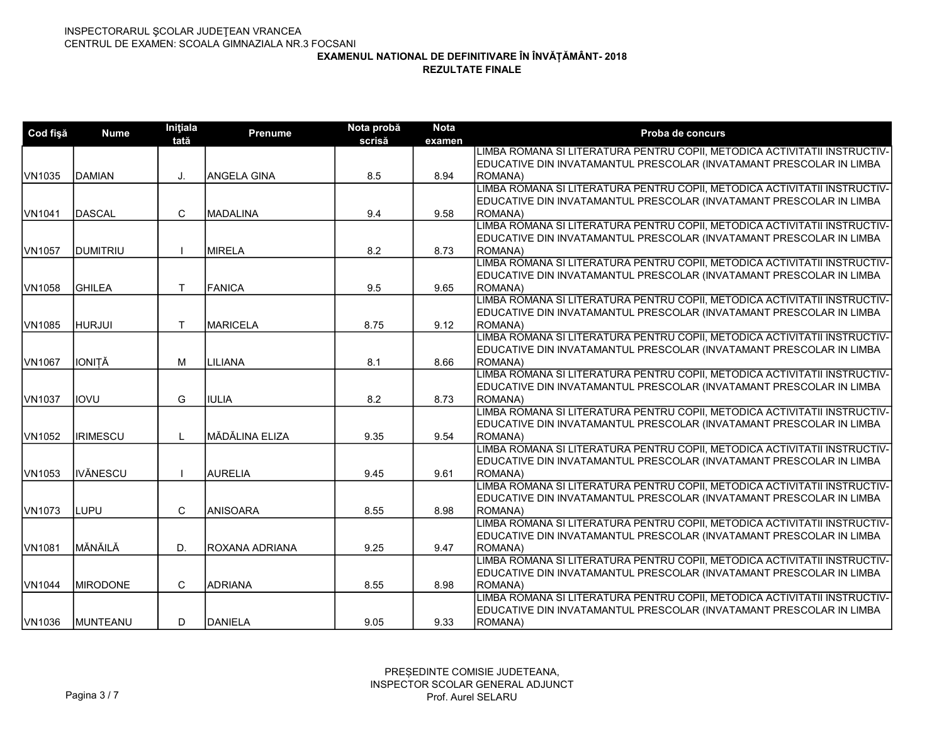| Cod fişă | <b>Nume</b>      | Initiala<br>tată | <b>Prenume</b>   | Nota probă<br>scrisă | <b>Nota</b><br>examen | Proba de concurs                                                          |
|----------|------------------|------------------|------------------|----------------------|-----------------------|---------------------------------------------------------------------------|
|          |                  |                  |                  |                      |                       | LIMBA ROMANA SI LITERATURA PENTRU COPII, METODICA ACTIVITATII INSTRUCTIV- |
|          |                  |                  |                  |                      |                       | EDUCATIVE DIN INVATAMANTUL PRESCOLAR (INVATAMANT PRESCOLAR IN LIMBA       |
| VN1035   | <b>IDAMIAN</b>   | J.               | IANGELA GINA     | 8.5                  | 8.94                  | <b>ROMANA</b> )                                                           |
|          |                  |                  |                  |                      |                       | LIMBA ROMANA SI LITERATURA PENTRU COPII, METODICA ACTIVITATII INSTRUCTIV- |
|          |                  |                  |                  |                      |                       | EDUCATIVE DIN INVATAMANTUL PRESCOLAR (INVATAMANT PRESCOLAR IN LIMBA       |
| VN1041   | <b>IDASCAL</b>   | C                | <b>IMADALINA</b> | 9.4                  | 9.58                  | ROMANA)                                                                   |
|          |                  |                  |                  |                      |                       | LIMBA ROMANA SI LITERATURA PENTRU COPII, METODICA ACTIVITATII INSTRUCTIV- |
|          |                  |                  |                  |                      |                       | EDUCATIVE DIN INVATAMANTUL PRESCOLAR (INVATAMANT PRESCOLAR IN LIMBA       |
| VN1057   | <b>IDUMITRIU</b> |                  | <b>IMIRELA</b>   | 8.2                  | 8.73                  | ROMANA)                                                                   |
|          |                  |                  |                  |                      |                       | LIMBA ROMANA SI LITERATURA PENTRU COPII, METODICA ACTIVITATII INSTRUCTIV- |
|          |                  |                  |                  |                      |                       | EDUCATIVE DIN INVATAMANTUL PRESCOLAR (INVATAMANT PRESCOLAR IN LIMBA       |
| VN1058   | <b>GHILEA</b>    | $\mathsf{T}$     | <b>FANICA</b>    | 9.5                  | 9.65                  | ROMANA)                                                                   |
|          |                  |                  |                  |                      |                       | LIMBA ROMANA SI LITERATURA PENTRU COPII, METODICA ACTIVITATII INSTRUCTIV- |
|          |                  |                  |                  |                      |                       | EDUCATIVE DIN INVATAMANTUL PRESCOLAR (INVATAMANT PRESCOLAR IN LIMBA       |
| VN1085   | <b>HURJUI</b>    | T.               | IMARICELA        | 8.75                 | 9.12                  | ROMANA)                                                                   |
|          |                  |                  |                  |                      |                       | LIMBA ROMANA SI LITERATURA PENTRU COPII, METODICA ACTIVITATII INSTRUCTIV- |
|          |                  |                  |                  |                      |                       | EDUCATIVE DIN INVATAMANTUL PRESCOLAR (INVATAMANT PRESCOLAR IN LIMBA       |
| VN1067   | <b>IONITĂ</b>    | М                | Ililiana         | 8.1                  | 8.66                  | ROMANA)                                                                   |
|          |                  |                  |                  |                      |                       | LIMBA ROMANA SI LITERATURA PENTRU COPII, METODICA ACTIVITATII INSTRUCTIV- |
|          |                  |                  |                  |                      |                       | EDUCATIVE DIN INVATAMANTUL PRESCOLAR (INVATAMANT PRESCOLAR IN LIMBA       |
| VN1037   | liovu            | G                | IULIA            | 8.2                  | 8.73                  | ROMANA)                                                                   |
|          |                  |                  |                  |                      |                       | LIMBA ROMANA SI LITERATURA PENTRU COPII, METODICA ACTIVITATII INSTRUCTIV- |
|          |                  |                  |                  |                      |                       | EDUCATIVE DIN INVATAMANTUL PRESCOLAR (INVATAMANT PRESCOLAR IN LIMBA       |
| VN1052   | <b>IRIMESCU</b>  | $\mathbf{I}$     | MĂDĂLINA ELIZA   | 9.35                 | 9.54                  | ROMANA)                                                                   |
|          |                  |                  |                  |                      |                       | LIMBA ROMANA SI LITERATURA PENTRU COPII, METODICA ACTIVITATII INSTRUCTIV- |
|          |                  |                  |                  |                      |                       | EDUCATIVE DIN INVATAMANTUL PRESCOLAR (INVATAMANT PRESCOLAR IN LIMBA       |
| VN1053   | <b>IIVĂNESCU</b> |                  | AURELIA          | 9.45                 | 9.61                  | ROMANA)                                                                   |
|          |                  |                  |                  |                      |                       | LIMBA ROMANA SI LITERATURA PENTRU COPII, METODICA ACTIVITATII INSTRUCTIV- |
|          |                  |                  |                  |                      |                       | EDUCATIVE DIN INVATAMANTUL PRESCOLAR (INVATAMANT PRESCOLAR IN LIMBA       |
| VN1073   | <b>ILUPU</b>     | C                | <b>ANISOARA</b>  | 8.55                 | 8.98                  | <b>ROMANA</b> )                                                           |
|          |                  |                  |                  |                      |                       | LIMBA ROMANA SI LITERATURA PENTRU COPII, METODICA ACTIVITATII INSTRUCTIV- |
|          |                  |                  |                  |                      |                       | EDUCATIVE DIN INVATAMANTUL PRESCOLAR (INVATAMANT PRESCOLAR IN LIMBA       |
| VN1081   | MĂNĂILĂ          | D.               | IROXANA ADRIANA  | 9.25                 | 9.47                  | ROMANA)                                                                   |
|          |                  |                  |                  |                      |                       | LIMBA ROMANA SI LITERATURA PENTRU COPII, METODICA ACTIVITATII INSTRUCTIV- |
|          |                  |                  |                  |                      |                       | EDUCATIVE DIN INVATAMANTUL PRESCOLAR (INVATAMANT PRESCOLAR IN LIMBA       |
| VN1044   | <b>IMIRODONE</b> | C                | <b>ADRIANA</b>   | 8.55                 | 8.98                  | ROMANA)                                                                   |
|          |                  |                  |                  |                      |                       | LIMBA ROMANA SI LITERATURA PENTRU COPII, METODICA ACTIVITATII INSTRUCTIV- |
|          |                  |                  |                  |                      |                       | EDUCATIVE DIN INVATAMANTUL PRESCOLAR (INVATAMANT PRESCOLAR IN LIMBA       |
| VN1036   | <b>IMUNTEANU</b> | D                | <b>DANIELA</b>   | 9.05                 | 9.33                  | ROMANA)                                                                   |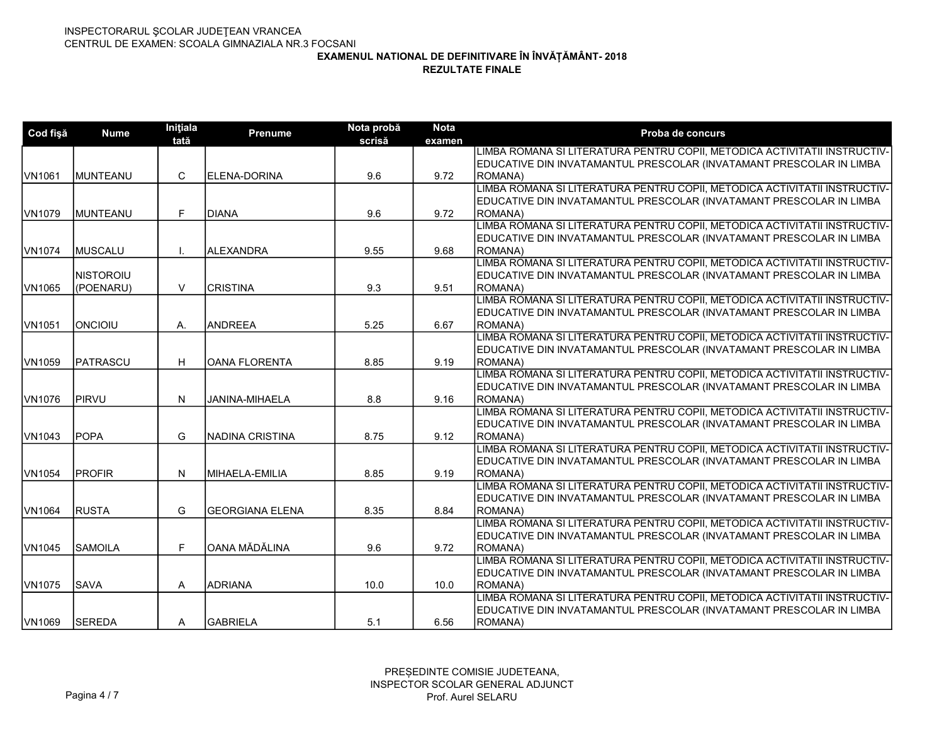| Cod fişă | <b>Nume</b>       | Initiala<br>tată | <b>Prenume</b>       | Nota probă<br>scrisă | <b>Nota</b><br>examen | Proba de concurs                                                                     |
|----------|-------------------|------------------|----------------------|----------------------|-----------------------|--------------------------------------------------------------------------------------|
|          |                   |                  |                      |                      |                       | LIMBA ROMANA SI LITERATURA PENTRU COPII, METODICA ACTIVITATII INSTRUCTIV-            |
|          |                   |                  |                      |                      |                       | EDUCATIVE DIN INVATAMANTUL PRESCOLAR (INVATAMANT PRESCOLAR IN LIMBA                  |
| VN1061   | <b>IMUNTEANU</b>  | C                | <b>IELENA-DORINA</b> | 9.6                  | 9.72                  | <b>ROMANA</b> )                                                                      |
|          |                   |                  |                      |                      |                       | LIMBA ROMANA SI LITERATURA PENTRU COPII, METODICA ACTIVITATII INSTRUCTIV-            |
|          |                   |                  |                      |                      |                       | EDUCATIVE DIN INVATAMANTUL PRESCOLAR (INVATAMANT PRESCOLAR IN LIMBA                  |
| VN1079   | <b>IMUNTEANU</b>  | F                | IDIANA               | 9.6                  | 9.72                  | <b>ROMANA</b> )                                                                      |
|          |                   |                  |                      |                      |                       | LIMBA ROMANA SI LITERATURA PENTRU COPII, METODICA ACTIVITATII INSTRUCTIV-            |
|          |                   |                  |                      |                      |                       | EDUCATIVE DIN INVATAMANTUL PRESCOLAR (INVATAMANT PRESCOLAR IN LIMBA                  |
| VN1074   | MUSCALU           |                  | IALEXANDRA           | 9.55                 | 9.68                  | ROMANA)                                                                              |
|          |                   |                  |                      |                      |                       | LIMBA ROMANA SI LITERATURA PENTRU COPII, METODICA ACTIVITATII INSTRUCTIV-            |
|          | <b>INISTOROIU</b> |                  |                      |                      |                       | EDUCATIVE DIN INVATAMANTUL PRESCOLAR (INVATAMANT PRESCOLAR IN LIMBA                  |
| VN1065   | (POENARU)         | V                | ICRISTINA            | 9.3                  | 9.51                  | ROMANA)                                                                              |
|          |                   |                  |                      |                      |                       | LIMBA ROMANA SI LITERATURA PENTRU COPII, METODICA ACTIVITATII INSTRUCTIV-            |
|          |                   |                  |                      |                      |                       | EDUCATIVE DIN INVATAMANTUL PRESCOLAR (INVATAMANT PRESCOLAR IN LIMBA                  |
| VN1051   | <b>IONCIOIU</b>   | А.               | <b>ANDREEA</b>       | 5.25                 | 6.67                  | ROMANA)                                                                              |
|          |                   |                  |                      |                      |                       | LIMBA ROMANA SI LITERATURA PENTRU COPII, METODICA ACTIVITATII INSTRUCTIV-            |
|          |                   |                  |                      |                      |                       | EDUCATIVE DIN INVATAMANTUL PRESCOLAR (INVATAMANT PRESCOLAR IN LIMBA                  |
| VN1059   | <b>IPATRASCU</b>  | н                | ÍOANA FLORENTA       | 8.85                 | 9.19                  | <b>ROMANA</b> )                                                                      |
|          |                   |                  |                      |                      |                       | LIMBA ROMANA SI LITERATURA PENTRU COPII, METODICA ACTIVITATII INSTRUCTIV-            |
|          |                   |                  |                      |                      |                       | EDUCATIVE DIN INVATAMANTUL PRESCOLAR (INVATAMANT PRESCOLAR IN LIMBA                  |
| VN1076   | PIRVU             | N                | JANINA-MIHAELA       | 8.8                  | 9.16                  | ROMANA)<br>LIMBA ROMANA SI LITERATURA PENTRU COPII, METODICA ACTIVITATII INSTRUCTIV- |
|          |                   |                  |                      |                      |                       | EDUCATIVE DIN INVATAMANTUL PRESCOLAR (INVATAMANT PRESCOLAR IN LIMBA                  |
| VN1043   | <b>POPA</b>       | G                | INADINA CRISTINA     | 8.75                 | 9.12                  | ROMANA)                                                                              |
|          |                   |                  |                      |                      |                       | LIMBA ROMANA SI LITERATURA PENTRU COPII, METODICA ACTIVITATII INSTRUCTIV-            |
|          |                   |                  |                      |                      |                       | EDUCATIVE DIN INVATAMANTUL PRESCOLAR (INVATAMANT PRESCOLAR IN LIMBA                  |
| VN1054   | PROFIR            | N                | MIHAELA-EMILIA       | 8.85                 | 9.19                  | ROMANA)                                                                              |
|          |                   |                  |                      |                      |                       | LIMBA ROMANA SI LITERATURA PENTRU COPII, METODICA ACTIVITATII INSTRUCTIV-            |
|          |                   |                  |                      |                      |                       | EDUCATIVE DIN INVATAMANTUL PRESCOLAR (INVATAMANT PRESCOLAR IN LIMBA                  |
| VN1064   | <b>IRUSTA</b>     | G                | lGEORGIANA ELENA     | 8.35                 | 8.84                  | <b>ROMANA</b> )                                                                      |
|          |                   |                  |                      |                      |                       | LIMBA ROMANA SI LITERATURA PENTRU COPII, METODICA ACTIVITATII INSTRUCTIV-            |
|          |                   |                  |                      |                      |                       | EDUCATIVE DIN INVATAMANTUL PRESCOLAR (INVATAMANT PRESCOLAR IN LIMBA                  |
| VN1045   | <b>SAMOILA</b>    | F                | OANA MĂDĂLINA        | 9.6                  | 9.72                  | ROMANA)                                                                              |
|          |                   |                  |                      |                      |                       | LIMBA ROMANA SI LITERATURA PENTRU COPII, METODICA ACTIVITATII INSTRUCTIV-            |
|          |                   |                  |                      |                      |                       | EDUCATIVE DIN INVATAMANTUL PRESCOLAR (INVATAMANT PRESCOLAR IN LIMBA                  |
| VN1075   | <b>SAVA</b>       | Α                | <b>ADRIANA</b>       | 10.0                 | 10.0                  | ROMANA)                                                                              |
|          |                   |                  |                      |                      |                       | LIMBA ROMANA SI LITERATURA PENTRU COPII, METODICA ACTIVITATII INSTRUCTIV-            |
|          |                   |                  |                      |                      |                       | EDUCATIVE DIN INVATAMANTUL PRESCOLAR (INVATAMANT PRESCOLAR IN LIMBA                  |
| VN1069   | <b>SEREDA</b>     | A                | <b>GABRIELA</b>      | 5.1                  | 6.56                  | ROMANA)                                                                              |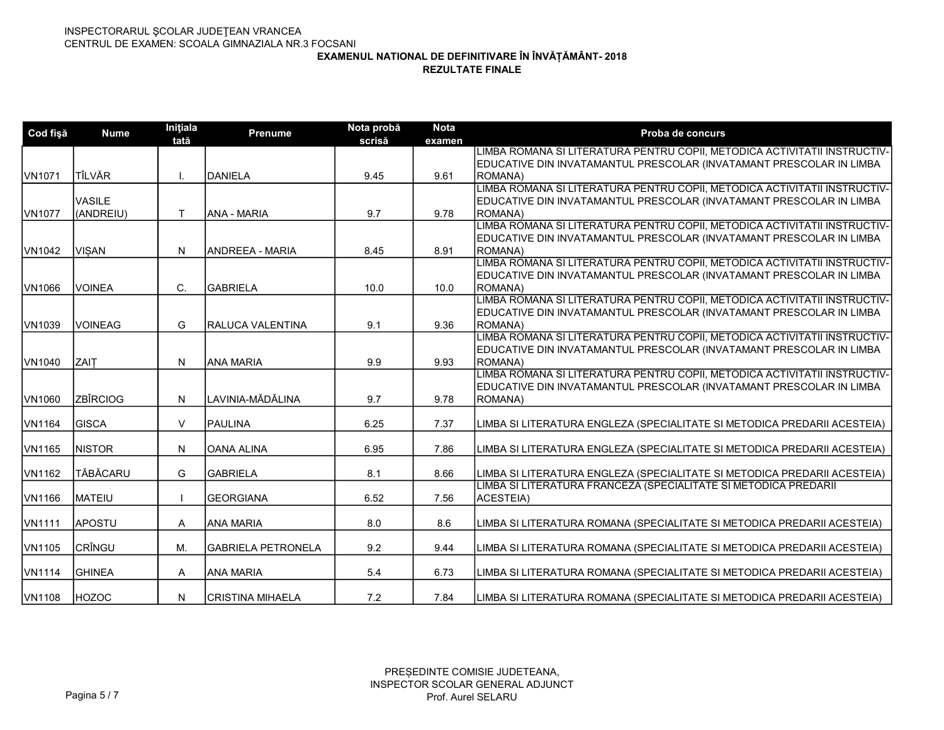| Cod fişă           | <b>Nume</b>     | Inițiala<br>tată | <b>Prenume</b>            | Nota probă<br>scrisă | <b>Nota</b><br>examen | Proba de concurs                                                          |
|--------------------|-----------------|------------------|---------------------------|----------------------|-----------------------|---------------------------------------------------------------------------|
|                    |                 |                  |                           |                      |                       | LIMBA ROMANA SI LITERATURA PENTRU COPII, METODICA ACTIVITATII INSTRUCTIV- |
|                    |                 |                  |                           |                      |                       | EDUCATIVE DIN INVATAMANTUL PRESCOLAR (INVATAMANT PRESCOLAR IN LIMBA       |
| VN <sub>1071</sub> | <b>TÎLVĂR</b>   |                  | DANIELA                   | 9.45                 | 9.61                  | <b>IROMANA)</b>                                                           |
|                    |                 |                  |                           |                      |                       | LIMBA ROMANA SI LITERATURA PENTRU COPII, METODICA ACTIVITATII INSTRUCTIV- |
|                    | <b>VASILE</b>   |                  |                           |                      |                       | EDUCATIVE DIN INVATAMANTUL PRESCOLAR (INVATAMANT PRESCOLAR IN LIMBA       |
| VN <sub>1077</sub> | (ANDREIU)       | T                | IANA - MARIA              | 9.7                  | 9.78                  | <b>ROMANA)</b>                                                            |
|                    |                 |                  |                           |                      |                       | LIMBA ROMANA SI LITERATURA PENTRU COPII, METODICA ACTIVITATII INSTRUCTIV- |
|                    |                 |                  |                           |                      |                       | EDUCATIVE DIN INVATAMANTUL PRESCOLAR (INVATAMANT PRESCOLAR IN LIMBA       |
| VN1042             | <b>VISAN</b>    | N                | IANDREEA - MARIA          | 8.45                 | 8.91                  | <b>ROMANA)</b>                                                            |
|                    |                 |                  |                           |                      |                       | LIMBA ROMANA SI LITERATURA PENTRU COPII, METODICA ACTIVITATII INSTRUCTIV- |
|                    |                 |                  |                           |                      |                       | EDUCATIVE DIN INVATAMANTUL PRESCOLAR (INVATAMANT PRESCOLAR IN LIMBA       |
| VN1066             | <b>IVOINEA</b>  | C.               | <b>İGABRIELA</b>          | 10.0                 | 10.0                  | <b>ROMANA)</b>                                                            |
|                    |                 |                  |                           |                      |                       | LIMBA ROMANA SI LITERATURA PENTRU COPII, METODICA ACTIVITATII INSTRUCTIV- |
|                    |                 |                  |                           |                      |                       | EDUCATIVE DIN INVATAMANTUL PRESCOLAR (INVATAMANT PRESCOLAR IN LIMBA       |
| VN1039             | <b>IVOINEAG</b> | G                | IRALUCA VALENTINA         | 9.1                  | 9.36                  | <b>ROMANA</b> )                                                           |
|                    |                 |                  |                           |                      |                       | LIMBA ROMANA SI LITERATURA PENTRU COPII, METODICA ACTIVITATII INSTRUCTIV- |
|                    |                 |                  |                           |                      |                       | EDUCATIVE DIN INVATAMANTUL PRESCOLAR (INVATAMANT PRESCOLAR IN LIMBA       |
| VN1040             | <b>ZAIT</b>     | N                | <b>ANA MARIA</b>          | 9.9                  | 9.93                  | <b>ROMANA)</b>                                                            |
|                    |                 |                  |                           |                      |                       | LIMBA ROMANA SI LITERATURA PENTRU COPII, METODICA ACTIVITATII INSTRUCTIV- |
|                    |                 |                  |                           |                      |                       | EDUCATIVE DIN INVATAMANTUL PRESCOLAR (INVATAMANT PRESCOLAR IN LIMBA       |
| VN1060             | ZBÎRCIOG        | ${\sf N}$        | LAVINIA-MĂDĂLINA          | 9.7                  | 9.78                  | ROMANA)                                                                   |
|                    |                 |                  |                           |                      |                       |                                                                           |
| <b>VN1164</b>      | <b>IGISCA</b>   | $\vee$           | <b>IPAULINA</b>           | 6.25                 | 7.37                  | LIMBA SI LITERATURA ENGLEZA (SPECIALITATE SI METODICA PREDARII ACESTEIA)  |
|                    |                 |                  |                           |                      |                       |                                                                           |
| VN1165             | <b>NISTOR</b>   | N                | OANA ALINA                | 6.95                 | 7.86                  | LIMBA SI LITERATURA ENGLEZA (SPECIALITATE SI METODICA PREDARII ACESTEIA)  |
| VN1162             | <b>TĂBĂCARU</b> | G                | <b>GABRIELA</b>           | 8.1                  | 8.66                  | LIMBA SI LITERATURA ENGLEZA (SPECIALITATE SI METODICA PREDARII ACESTEIA)  |
|                    |                 |                  |                           |                      |                       | LIMBA SI LITERATURA FRANCEZA (SPECIALITATE SI METODICA PREDARII           |
| <b>VN1166</b>      | <b>IMATEIU</b>  |                  | <b>GEORGIANA</b>          | 6.52                 | 7.56                  | <b>ACESTEIA)</b>                                                          |
|                    |                 |                  |                           |                      |                       |                                                                           |
| VN1111             | <b>APOSTU</b>   | A                | IANA MARIA                | 8.0                  | 8.6                   | LIMBA SI LITERATURA ROMANA (SPECIALITATE SI METODICA PREDARII ACESTEIA)   |
| VN1105             | CRÎNGU          | M.               |                           |                      | 9.44                  |                                                                           |
|                    |                 |                  | <b>GABRIELA PETRONELA</b> | 9.2                  |                       | LIMBA SI LITERATURA ROMANA (SPECIALITATE SI METODICA PREDARII ACESTEIA)   |
| VN1114             | <b>IGHINEA</b>  | A                | IANA MARIA                | 5.4                  | 6.73                  | LIMBA SI LITERATURA ROMANA (SPECIALITATE SI METODICA PREDARII ACESTEIA)   |
|                    |                 |                  |                           |                      |                       |                                                                           |
| VN1108             | HOZOC           | N                | CRISTINA MIHAELA          | 7.2                  | 7.84                  | LIMBA SI LITERATURA ROMANA (SPECIALITATE SI METODICA PREDARII ACESTEIA)   |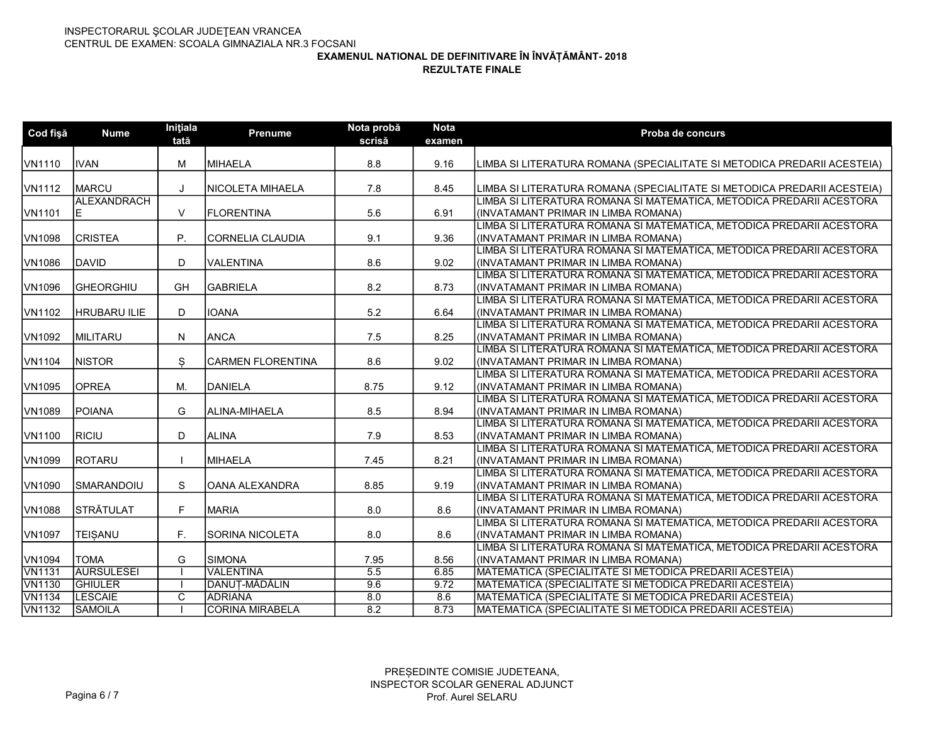| IMIHAELA<br>VN1110<br><b>IVAN</b><br>M<br>8.8<br>9.16<br>LIMBA SI LITERATURA ROMANA (SPECIALITATE SI METODICA PREDARII ACESTEIA)<br>MARCU<br>VN1112<br>INICOLETA MIHAELA<br>7.8<br>8.45<br>LIMBA SI LITERATURA ROMANA (SPECIALITATE SI METODICA PREDARII ACESTEIA)<br>J<br>ALEXANDRACH<br>LIMBA SI LITERATURA ROMANA SI MATEMATICA. METODICA PREDARII ACESTORA<br>$\vee$<br>VN1101<br>IFLORENTINA<br>5.6<br>6.91<br>(INVATAMANT PRIMAR IN LIMBA ROMANA)<br>IE<br>LIMBA SI LITERATURA ROMANA SI MATEMATICA, METODICA PREDARII ACESTORA<br>VN1098<br><b>CRISTEA</b><br>P.<br>CORNELIA CLAUDIA<br>9.1<br>9.36<br>(INVATAMANT PRIMAR IN LIMBA ROMANA) |  |
|---------------------------------------------------------------------------------------------------------------------------------------------------------------------------------------------------------------------------------------------------------------------------------------------------------------------------------------------------------------------------------------------------------------------------------------------------------------------------------------------------------------------------------------------------------------------------------------------------------------------------------------------------|--|
|                                                                                                                                                                                                                                                                                                                                                                                                                                                                                                                                                                                                                                                   |  |
|                                                                                                                                                                                                                                                                                                                                                                                                                                                                                                                                                                                                                                                   |  |
|                                                                                                                                                                                                                                                                                                                                                                                                                                                                                                                                                                                                                                                   |  |
|                                                                                                                                                                                                                                                                                                                                                                                                                                                                                                                                                                                                                                                   |  |
|                                                                                                                                                                                                                                                                                                                                                                                                                                                                                                                                                                                                                                                   |  |
|                                                                                                                                                                                                                                                                                                                                                                                                                                                                                                                                                                                                                                                   |  |
| .<br>LIMBA SI LITERATURA ROMANA SI MATEMATICA, METODICA PREDARII ACESTORA                                                                                                                                                                                                                                                                                                                                                                                                                                                                                                                                                                         |  |
| <b>VN1086</b><br><b>IDAVID</b><br>D<br>IVALENTINA<br>8.6<br>9.02<br>I(INVATAMANT PRIMAR IN LIMBA ROMANA)                                                                                                                                                                                                                                                                                                                                                                                                                                                                                                                                          |  |
| LIMBA SI LITERATURA ROMANA SI MATEMATICA, METODICA PREDARII ACESTORA                                                                                                                                                                                                                                                                                                                                                                                                                                                                                                                                                                              |  |
| VN1096<br><b>GH</b><br><b>İGABRIELA</b><br>8.2<br><b>GHEORGHIU</b><br>8.73<br>(INVATAMANT PRIMAR IN LIMBA ROMANA)                                                                                                                                                                                                                                                                                                                                                                                                                                                                                                                                 |  |
| LIMBA SI LITERATURA ROMANA SI MATEMATICA, METODICA PREDARII ACESTORA                                                                                                                                                                                                                                                                                                                                                                                                                                                                                                                                                                              |  |
| D.<br><b>IOANA</b><br>5.2<br>VN1102<br><b>HRUBARU ILIE</b><br>6.64<br>(INVATAMANT PRIMAR IN LIMBA ROMANA)                                                                                                                                                                                                                                                                                                                                                                                                                                                                                                                                         |  |
| LIMBA SI LITERATURA ROMANA SI MATEMATICA, METODICA PREDARII ACESTORA                                                                                                                                                                                                                                                                                                                                                                                                                                                                                                                                                                              |  |
| <b>ANCA</b><br>VN1092<br><b>IMILITARU</b><br>N<br>7.5<br>8.25<br>(INVATAMANT PRIMAR IN LIMBA ROMANA)                                                                                                                                                                                                                                                                                                                                                                                                                                                                                                                                              |  |
| LIMBA SI LITERATURA ROMANA SI MATEMATICA, METODICA PREDARII ACESTORA                                                                                                                                                                                                                                                                                                                                                                                                                                                                                                                                                                              |  |
| <b>NISTOR</b><br>S<br><b>CARMEN FLORENTINA</b><br>VN1104<br>8.6<br>9.02<br>(INVATAMANT PRIMAR IN LIMBA ROMANA)                                                                                                                                                                                                                                                                                                                                                                                                                                                                                                                                    |  |
| LIMBA SI LITERATURA ROMANA SI MATEMATICA, METODICA PREDARII ACESTORA                                                                                                                                                                                                                                                                                                                                                                                                                                                                                                                                                                              |  |
| <b>OPREA</b><br>M.<br>DANIELA<br>VN1095<br>8.75<br>9.12<br>(INVATAMANT PRIMAR IN LIMBA ROMANA)                                                                                                                                                                                                                                                                                                                                                                                                                                                                                                                                                    |  |
| LIMBA SI LITERATURA ROMANA SI MATEMATICA, METODICA PREDARII ACESTORA                                                                                                                                                                                                                                                                                                                                                                                                                                                                                                                                                                              |  |
| G<br><b>IPOIANA</b><br>ALINA-MIHAELA<br>8.5<br>8.94<br>VN1089<br>(INVATAMANT PRIMAR IN LIMBA ROMANA)                                                                                                                                                                                                                                                                                                                                                                                                                                                                                                                                              |  |
| LIMBA SI LITERATURA ROMANA SI MATEMATICA, METODICA PREDARII ACESTORA                                                                                                                                                                                                                                                                                                                                                                                                                                                                                                                                                                              |  |
| VN1100<br>RICIU<br>ALINA<br>D<br>7.9<br>8.53<br>(INVATAMANT PRIMAR IN LIMBA ROMANA)                                                                                                                                                                                                                                                                                                                                                                                                                                                                                                                                                               |  |
| LIMBA SI LITERATURA ROMANA SI MATEMATICA, METODICA PREDARII ACESTORA                                                                                                                                                                                                                                                                                                                                                                                                                                                                                                                                                                              |  |
| VN1099<br><b>IROTARU</b><br><b>IMIHAELA</b><br>7.45<br>8.21<br>(INVATAMANT PRIMAR IN LIMBA ROMANA)                                                                                                                                                                                                                                                                                                                                                                                                                                                                                                                                                |  |
| LIMBA SI LITERATURA ROMANA SI MATEMATICA, METODICA PREDARII ACESTORA                                                                                                                                                                                                                                                                                                                                                                                                                                                                                                                                                                              |  |
| S<br>VN1090<br>ISMARANDOIU<br>lOANA ALEXANDRA<br>8.85<br>9.19<br>(INVATAMANT PRIMAR IN LIMBA ROMANA)                                                                                                                                                                                                                                                                                                                                                                                                                                                                                                                                              |  |
| LIMBA SI LITERATURA ROMANA SI MATEMATICA, METODICA PREDARII ACESTORA                                                                                                                                                                                                                                                                                                                                                                                                                                                                                                                                                                              |  |
| STRĂTULAT<br>F.<br>VN1088<br><b>MARIA</b><br>8.0<br>8.6<br>(INVATAMANT PRIMAR IN LIMBA ROMANA)                                                                                                                                                                                                                                                                                                                                                                                                                                                                                                                                                    |  |
| LIMBA SI LITERATURA ROMANA SI MATEMATICA, METODICA PREDARII ACESTORA                                                                                                                                                                                                                                                                                                                                                                                                                                                                                                                                                                              |  |
| F.<br><b>VN1097</b><br><b>TEISANU</b><br>ISORINA NICOLETA<br>I(INVATAMANT PRIMAR IN LIMBA ROMANA)<br>8.0<br>8.6                                                                                                                                                                                                                                                                                                                                                                                                                                                                                                                                   |  |
| LIMBA SI LITERATURA ROMANA SI MATEMATICA, METODICA PREDARII ACESTORA<br>G<br>VN1094<br><b>TOMA</b><br>SIMONA<br>7.95<br>8.56<br>(INVATAMANT PRIMAR IN LIMBA ROMANA)                                                                                                                                                                                                                                                                                                                                                                                                                                                                               |  |
| <b>AURSULESEI</b><br><b>VALENTINA</b><br>$\overline{5.5}$<br>MATEMATICA (SPECIALITATE SI METODICA PREDARII ACESTEIA)<br><b>VN1131</b><br>6.85                                                                                                                                                                                                                                                                                                                                                                                                                                                                                                     |  |
| DANUT-MĂDĂLIN<br><b>VN1130</b><br><b>GHIULER</b><br>9.6<br>9.72<br>MATEMATICA (SPECIALITATE SI METODICA PREDARII ACESTEIA)                                                                                                                                                                                                                                                                                                                                                                                                                                                                                                                        |  |
| <b>VN1134</b><br><b>LESCAIE</b><br>C<br><b>ADRIANA</b><br>8.0<br>8.6<br>MATEMATICA (SPECIALITATE SI METODICA PREDARII ACESTEIA)                                                                                                                                                                                                                                                                                                                                                                                                                                                                                                                   |  |
| <b>VN1132</b><br>8.2<br>8.73<br><b>SAMOILA</b><br><b>CORINA MIRABELA</b><br>MATEMATICA (SPECIALITATE SI METODICA PREDARII ACESTEIA)                                                                                                                                                                                                                                                                                                                                                                                                                                                                                                               |  |